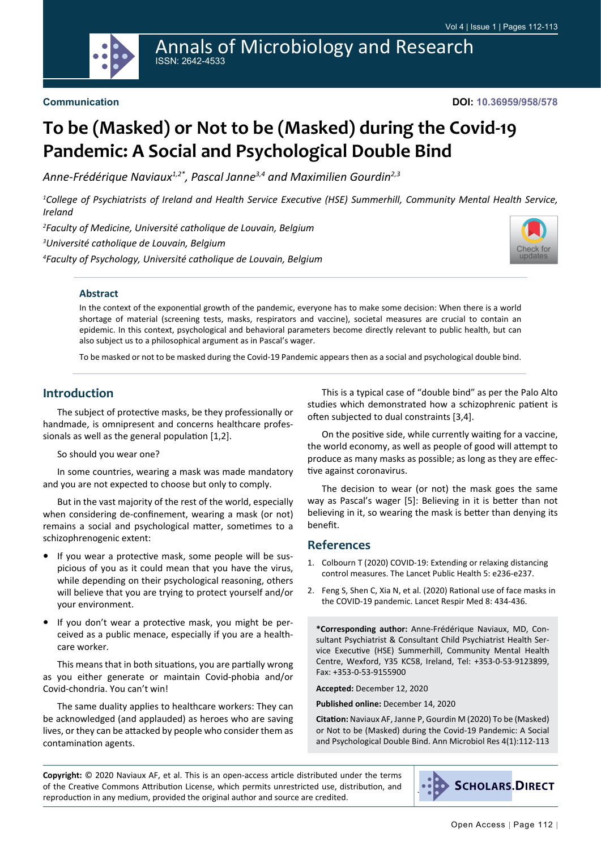

**DOI: 10.36959/958/578**

# **To be (Masked) or Not to be (Masked) during the Covid-19 Pandemic: A Social and Psychological Double Bind**

*Anne-Frédérique Naviaux1,2\*, Pascal Janne3,4 and Maximilien Gourdin2,3*

*1 College of Psychiatrists of Ireland and Health Service Executive (HSE) Summerhill, Community Mental Health Service, Ireland*

*2 Faculty of Medicine, Université catholique de Louvain, Belgium 3 Université catholique de Louvain, Belgium 4 Faculty of Psychology, Université catholique de Louvain, Belgium*



## **Abstract**

In the context of the exponential growth of the pandemic, everyone has to make some decision: When there is a world shortage of material (screening tests, masks, respirators and vaccine), societal measures are crucial to contain an epidemic. In this context, psychological and behavioral parameters become directly relevant to public health, but can also subject us to a philosophical argument as in Pascal's wager.

To be masked or not to be masked during the Covid-19 Pandemic appears then as a social and psychological double bind.

# **Introduction**

The subject of protective masks, be they professionally or handmade, is omnipresent and concerns healthcare professionals as well as the general population [1,2].

#### So should you wear one?

In some countries, wearing a mask was made mandatory and you are not expected to choose but only to comply.

But in the vast majority of the rest of the world, especially when considering de-confinement, wearing a mask (or not) remains a social and psychological matter, sometimes to a schizophrenogenic extent:

- **•**  If you wear a protective mask, some people will be suspicious of you as it could mean that you have the virus, while depending on their psychological reasoning, others will believe that you are trying to protect yourself and/or your environment.
- If you don't wear a protective mask, you might be perceived as a public menace, especially if you are a healthcare worker.

This means that in both situations, you are partially wrong as you either generate or maintain Covid-phobia and/or Covid-chondria. You can't win!

The same duality applies to healthcare workers: They can be acknowledged (and applauded) as heroes who are saving lives, or they can be attacked by people who consider them as contamination agents.

This is a typical case of "double bind" as per the Palo Alto studies which demonstrated how a schizophrenic patient is often subjected to dual constraints [3,4].

On the positive side, while currently waiting for a vaccine, the world economy, as well as people of good will attempt to produce as many masks as possible; as long as they are effective against coronavirus.

The decision to wear (or not) the mask goes the same way as Pascal's wager [5]: Believing in it is better than not believing in it, so wearing the mask is better than denying its benefit.

## **References**

- 1. [Colbourn T \(2020\) COVID-19: Extending or relaxing distancing](https://www.thelancet.com/journals/lanpub/article/PIIS2468-2667(20)30072-4/fulltext)  [control measures. The Lancet Public Health 5: e236-e237.](https://www.thelancet.com/journals/lanpub/article/PIIS2468-2667(20)30072-4/fulltext)
- 2. [Feng S, Shen C, Xia N, et al. \(2020\) Rational use of face masks in](https://www.thelancet.com/journals/lanres/article/PIIS2213-2600(20)30134-X/fulltext)  [the COVID-19 pandemic. Lancet Respir Med 8: 434-436.](https://www.thelancet.com/journals/lanres/article/PIIS2213-2600(20)30134-X/fulltext)

**\*Corresponding author:** Anne-Frédérique Naviaux, MD, Consultant Psychiatrist & Consultant Child Psychiatrist Health Service Executive (HSE) Summerhill, Community Mental Health Centre, Wexford, Y35 KC58, Ireland, Tel: +353-0-53-9123899, Fax: +353-0-53-9155900

**Accepted:** December 12, 2020

**Published online:** December 14, 2020

**Citation:** Naviaux AF, Janne P, Gourdin M (2020) To be (Masked) or Not to be (Masked) during the Covid-19 Pandemic: A Social and Psychological Double Bind. Ann Microbiol Res 4(1):112-113

**Copyright:** © 2020 Naviaux AF, et al. This is an open-access article distributed under the terms of the Creative Commons Attribution License, which permits unrestricted use, distribution, and reproduction in any medium, provided the original author and source are credited.